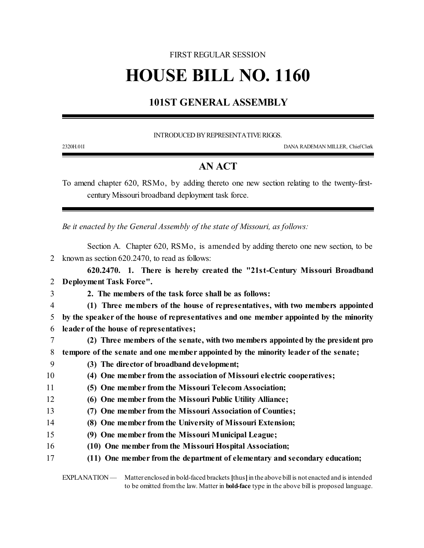## FIRST REGULAR SESSION

## **HOUSE BILL NO. 1160**

## **101ST GENERAL ASSEMBLY**

INTRODUCED BY REPRESENTATIVE RIGGS.

2320H.01I DANA RADEMAN MILLER, ChiefClerk

## **AN ACT**

To amend chapter 620, RSMo, by adding thereto one new section relating to the twenty-firstcentury Missouri broadband deployment task force.

*Be it enacted by the General Assembly of the state of Missouri, as follows:*

Section A. Chapter 620, RSMo, is amended by adding thereto one new section, to be 2 known as section 620.2470, to read as follows:

**620.2470. 1. There is hereby created the "21st-Century Missouri Broadband** 2 **Deployment Task Force".**

- 
- 3 **2. The members of the task force shall be as follows:**

4 **(1) Three members of the house of representatives, with two members appointed** 5 **by the speaker of the house of representatives and one member appointed by the minority** 6 **leader of the house of representatives;**

- 7 **(2) Three members of the senate, with two members appointed by the president pro** 8 **tempore of the senate and one member appointed by the minority leader of the senate;**
- 9 **(3) The director of broadband development;**
- 10 **(4) One member from the association of Missouri electric cooperatives;**
- 11 **(5) One member from the Missouri Telecom Association;**
- 12 **(6) One member from the Missouri Public Utility Alliance;**
- 13 **(7) One member from the Missouri Association of Counties;**
- 14 **(8) One member from the University of Missouri Extension;**
- 15 **(9) One member from the Missouri Municipal League;**
- 16 **(10) One member from the Missouri Hospital Association;**
- 17 **(11) One member from the department of elementary and secondary education;**

EXPLANATION — Matter enclosed in bold-faced brackets [thus] in the above bill is not enacted and is intended to be omitted fromthe law. Matter in **bold-face** type in the above bill is proposed language.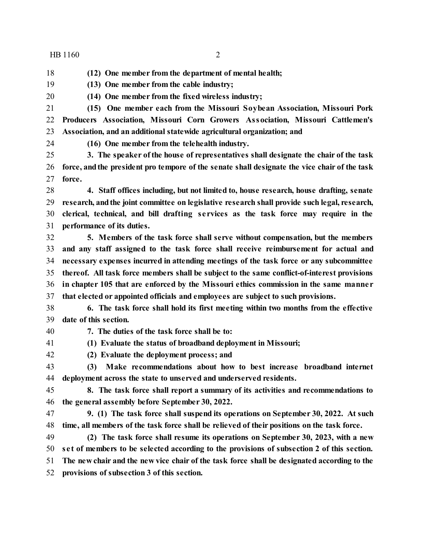HB 1160 2

- **(12) One member from the department of mental health;**
- **(13) One member from the cable industry;**
- 
- **(14) One member from the fixed wireless industry;**
- **(15) One member each from the Missouri Soybean Association, Missouri Pork Producers Association, Missouri Corn Growers Association, Missouri Cattlemen's Association, and an additional statewide agricultural organization; and**
- 
- **(16) One member from the telehealth industry.**

 **3. The speaker ofthe house of representatives shall designate the chair of the task force, andthe president pro tempore of the senate shall designate the vice chair of the task force.**

 **4. Staff offices including, but not limited to, house research, house drafting, senate research, andthe joint committee on legislative research shall provide such legal, research, clerical, technical, and bill drafting se rvices as the task force may require in the performance of its duties.**

 **5. Members of the task force shall serve without compensation, but the members and any staff assigned to the task force shall receive reimbursement for actual and necessary expenses incurred in attending meetings of the task force or any subcommittee thereof. All task force members shall be subject to the same conflict-of-interest provisions in chapter 105 that are enforced by the Missouri ethics commission in the same manne r that elected or appointed officials and employees are subject to such provisions.**

 **6. The task force shall hold its first meeting within two months from the effective date of this section.**

**7. The duties of the task force shall be to:**

**(1) Evaluate the status of broadband deployment in Missouri;**

**(2) Evaluate the deployment process; and**

 **(3) Make recommendations about how to best increase broadband internet deployment across the state to unserved and underserved residents.**

 **8. The task force shall report a summary of its activities and recommendations to the general assembly before September 30, 2022.**

 **9. (1) The task force shall suspend its operations on September 30, 2022. At such time, all members of the task force shall be relieved of their positions on the task force.**

 **(2) The task force shall resume its operations on September 30, 2023, with a new se t of members to be selected according to the provisions of subsection 2 of this section. The new chair and the new vice chair of the task force shall be designated according to the provisions of subsection 3 of this section.**